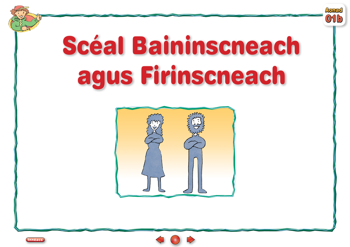

# Scéal Baininscneach agus Firinscneach





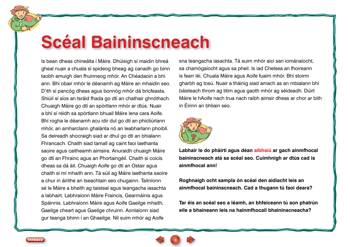#### **Scéal Baininscneach**

Is bean dheas chineálta í Máire. Dhúisigh sí maidin bhreá gheal nuair a chuala sí spideog bheag ag canadh go binn taobh amuigh den fhuinneog mhór. An Chéadaoin a bhí ann. Bhí obair mhór le déanamh ag Máire an mhaidin seo. D'ith sí pancóg dheas agus bonnóg mhór dá bricfeasta. Shiúil sí síos an tsráid fhada go dtí an chathair ghnóthach. Chuaigh Máire go dtí an spórtlann mhór ar dtús. Nuair a bhí sí réidh sa spórtlann bhuail Máire lena cara Aoife. Bhí rogha le déanamh acu idir dul go dtí an phictiúrlann mhór, an amharclann ghalánta nó an leabharlann phoiblí. Sa deireadh shocraigh siad ar dhul go dtí an bhialann Fhrancach. Chaith siad tamall ag caint faoi laethanta saoire agus caitheamh aimsire. Anuraidh chuaigh Máire go dtí an Fhrainc agus an Phortaingéil. Chaith sí coicís dheas sa dá áit. Chuaigh Aoife go dtí an Ostair agus chaith sí mí mhaith ann. Tá súil ag Máire laethanta saoire a chur in áirithe an tseachtain seo chugainn. Taitníonn sé le Máire a bheith ag taisteal agus teangacha iasachta a labhairt. Labhraíonn Máire Fraincis, Gearmáinis agus Spáinnis. Labhraíonn Máire agus Aoife Gaeilge mhaith, Gaeilge cheart agus Gaeilge chruinn. Aontaíonn siad gur teanga bhinn í an Ghaeilge. Níl suim mhór ag Aoife

sna teangacha iasachta. Tá suim mhór aici san iománaíocht, sa chamógaíocht agus sa pheil. Is iad Chelsea an fhoireann is fearr léi. Chuala Máire agus Aoife fuaim mhór. Bhí stoirm gharbh ag tosú. Nuair a tháinig siad amach as an mbialann bhí báisteach throm ag titim agus gaoth mhór ag séideadh. Dúirt Máire le hAoife nach trua nach raibh aimsir dheas ar chor ar bith in Éirinn an bhliain seo.



**Labhair le do pháirtí agus déan aibhsiú ar gach ainmfhocal baininscneach atá sa scéal seo. Cuimhnigh ar dtús cad is ainmfhocal ann!**

**Roghnaigh ocht sampla ón scéal den aidiacht leis an ainmfhocal baininscneach. Cad a thugann tú faoi deara?** 

**Tar éis an scéal seo a léamh, an bhfeiceann tú aon phatrún eile a bhaineann leis na hainmfhocail bhaininscneacha?**



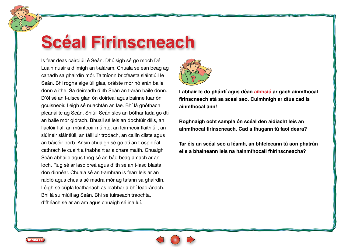## **Scéal Firinscneach**

Is fear deas cairdiúil é Seán. Dhúisigh sé go moch Dé Luain nuair a d'imigh an t-aláram. Chuala sé éan beag ag canadh sa ghairdín mór. Taitníonn bricfeasta sláintiúil le Seán. Bhí rogha aige úll glas, oráiste mór nó arán baile donn a ithe. Sa deireadh d'ith Seán an t-arán baile donn. D'ól sé an t-uisce glan ón doirteal agus bainne fuar ón gcuisneoir. Léigh sé nuachtán an lae. Bhí lá gnóthach pleanáilte ag Seán. Shiúil Seán síos an bóthar fada go dtí an baile mór glórach. Bhuail sé leis an dochtúir dílis, an fiaclóir fial, an múinteoir múinte, an feirmeoir flaithiúil, an siúinéir sláintiúil, an táilliúir trodach, an cailín cliste agus an báicéir borb. Ansin chuaigh sé go dtí an t-ospidéal cathrach le cuairt a thabhairt ar a chara maith. Chuaigh Seán abhaile agus thóg sé an bád beag amach ar an loch. Rug sé ar iasc breá agus d'ith sé an t-iasc blasta don dinnéar. Chuala sé an t-amhrán is fearr leis ar an raidió agus chuala sé madra mór ag tafann sa ghairdín. Léigh sé cúpla leathanach as leabhar a bhí leadránach. Bhí lá suimiúil ag Seán. Bhí sé tuirseach traochta, d'fhéach sé ar an am agus chuaigh sé ina luí.



**Labhair le do pháirtí agus déan aibhsiú ar gach ainmfhocal firinscneach atá sa scéal seo. Cuimhnigh ar dtús cad is ainmfhocal ann!**

**Roghnaigh ocht sampla ón scéal den aidiacht leis an ainmfhocal firinscneach. Cad a thugann tú faoi deara?**

**Tar éis an scéal seo a léamh, an bhfeiceann tú aon phatrún eile a bhaineann leis na hainmfhocail fhirinscneacha?**



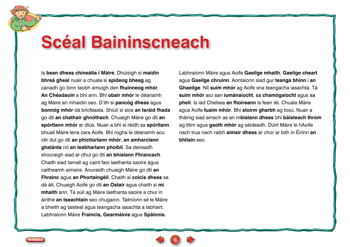#### **Scéal Baininscneach**

Is **bean dheas chineálta í Máire**. Dhúisigh sí **maidin bhreá gheal** nuair a chuala sí **spideog bheag** ag canadh go binn taobh amuigh den **fhuinneog mhór**. **An Chéadaoin** a bhí ann. Bhí **obair mhór** le déanamh ag Máire an mhaidin seo. D'ith sí **pancóg dheas** agus **bonnóg mhór** dá bricfeasta. Shiúil sí síos **an tsráid fhada** go dtí **an chathair ghnóthach**. Chuaigh Máire go dtí **an spórtlann mhór** ar dtús. Nuair a bhí sí réidh sa **spórtlann** bhuail Máire lena cara Aoife. Bhí rogha le déanamh acu idir dul go dtí **an phictiúrlann mhór**, **an amharclann ghalánta** nó **an leabharlann phoiblí**. Sa deireadh shocraigh siad ar dhul go dtí **an bhialann Fhrancach**. Chaith siad tamall ag caint faoi laethanta saoire agus caitheamh aimsire. Anuraidh chuaigh Máire go dtí **an Fhrainc** agus **an Phortaingéil**. Chaith sí **coicís dheas** sa dá áit. Chuaigh Aoife go dtí **an Ostair** agus chaith sí **mí mhaith** ann. Tá súil ag Máire laethanta saoire a chur in áirithe **an tseachtain** seo chugainn. Taitníonn sé le Máire a bheith ag taisteal agus teangacha iasachta a labhairt. Labhraíonn Máire **Fraincis, Gearmáinis** agus **Spáinnis**.

Labhraíonn Máire agus Aoife **Gaeilge mhaith**, **Gaeilge cheart** agus **Gaeilge chruinn**. Aontaíonn siad gur **teanga bhinn** í **an Ghaeilge**. Níl **suim mhór** ag Aoife sna teangacha iasachta. Tá **suim mhór** aici san **iománaíocht**, sa **chamógaíocht** agus sa **pheil**. Is iad Chelsea **an fhoireann** is fearr léi. Chuala Máire agus Aoife **fuaim mhór**. Bhí **stoirm gharbh** ag tosú. Nuair a tháinig siad amach as an m**bialann dheas** bhí **báisteach throm** ag titim agus **gaoth mhór** ag séideadh. Dúirt Máire le hAoife nach trua nach raibh **aimsir dheas** ar chor ar bith in Éirinn **an bhliain** seo.